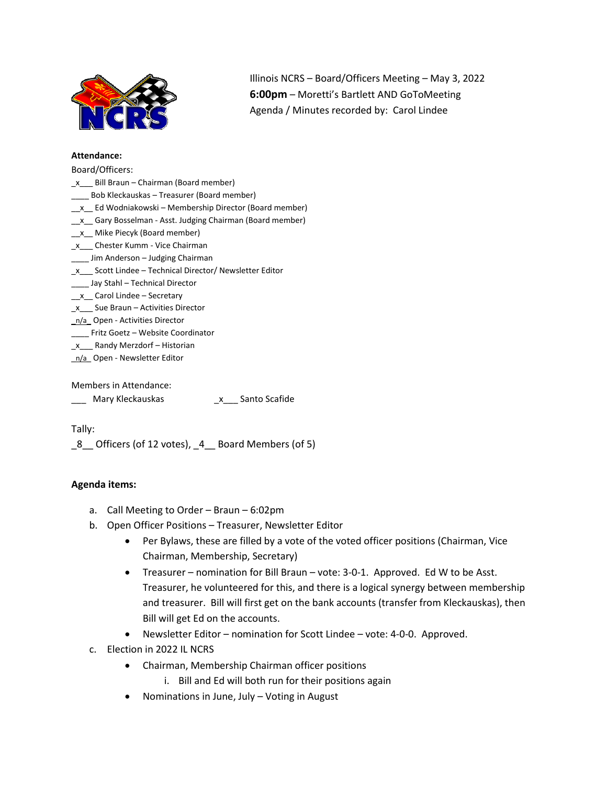

Illinois NCRS – Board/Officers Meeting – May 3, 2022 **6:00pm** – Moretti's Bartlett AND GoToMeeting Agenda / Minutes recorded by: Carol Lindee

### **Attendance:**

#### Board/Officers:

| x Bill Braun – Chairman (Board member)                   |
|----------------------------------------------------------|
| Bob Kleckauskas – Treasurer (Board member)               |
| x Ed Wodniakowski – Membership Director (Board member)   |
| x Gary Bosselman - Asst. Judging Chairman (Board member) |
| x Mike Piecyk (Board member)                             |
| x Chester Kumm - Vice Chairman                           |
| Jim Anderson – Judging Chairman                          |
| x Scott Lindee – Technical Director/ Newsletter Editor   |
| Jay Stahl - Technical Director                           |
| x Carol Lindee – Secretary                               |
| x Sue Braun – Activities Director                        |
| n/a Open - Activities Director                           |
| Fritz Goetz - Website Coordinator                        |
| x Randy Merzdorf – Historian                             |
| n/a Open - Newsletter Editor                             |
|                                                          |
| Members in Attendance:                                   |

\_\_\_ Mary Kleckauskas \_x\_\_\_ Santo Scafide

Tally:

\_8\_\_ Officers (of 12 votes), \_4\_\_ Board Members (of 5)

## **Agenda items:**

- a. Call Meeting to Order Braun 6:02pm
- b. Open Officer Positions Treasurer, Newsletter Editor
	- Per Bylaws, these are filled by a vote of the voted officer positions (Chairman, Vice Chairman, Membership, Secretary)
	- Treasurer nomination for Bill Braun vote: 3-0-1. Approved. Ed W to be Asst. Treasurer, he volunteered for this, and there is a logical synergy between membership and treasurer. Bill will first get on the bank accounts (transfer from Kleckauskas), then Bill will get Ed on the accounts.
	- Newsletter Editor nomination for Scott Lindee vote: 4-0-0. Approved.
- c. Election in 2022 IL NCRS
	- Chairman, Membership Chairman officer positions
		- i. Bill and Ed will both run for their positions again
	- Nominations in June, July Voting in August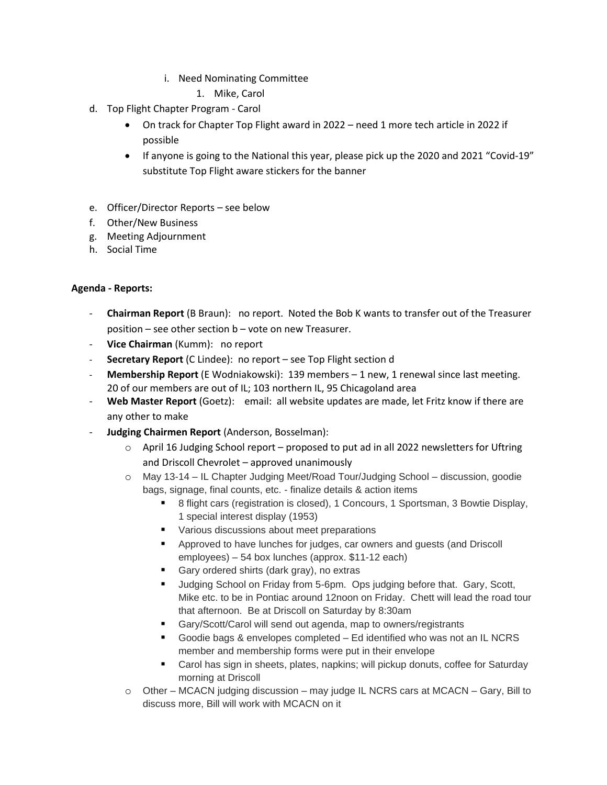- i. Need Nominating Committee
	- 1. Mike, Carol
- d. Top Flight Chapter Program Carol
	- On track for Chapter Top Flight award in 2022 need 1 more tech article in 2022 if possible
	- If anyone is going to the National this year, please pick up the 2020 and 2021 "Covid-19" substitute Top Flight aware stickers for the banner
- e. Officer/Director Reports see below
- f. Other/New Business
- g. Meeting Adjournment
- h. Social Time

# **Agenda - Reports:**

- **Chairman Report** (B Braun): no report. Noted the Bob K wants to transfer out of the Treasurer position – see other section b – vote on new Treasurer.
- **Vice Chairman** (Kumm): no report
- **Secretary Report** (C Lindee): no report see Top Flight section d
- **Membership Report** (E Wodniakowski): 139 members 1 new, 1 renewal since last meeting. 20 of our members are out of IL; 103 northern IL, 95 Chicagoland area
- Web Master Report (Goetz): email: all website updates are made, let Fritz know if there are any other to make
- **Judging Chairmen Report** (Anderson, Bosselman):
	- $\circ$  April 16 Judging School report proposed to put ad in all 2022 newsletters for Uftring and Driscoll Chevrolet – approved unanimously
	- o May 13-14 IL Chapter Judging Meet/Road Tour/Judging School discussion, goodie bags, signage, final counts, etc. - finalize details & action items
		- 8 flight cars (registration is closed), 1 Concours, 1 Sportsman, 3 Bowtie Display, 1 special interest display (1953)
		- Various discussions about meet preparations
		- Approved to have lunches for judges, car owners and quests (and Driscoll employees) – 54 box lunches (approx. \$11-12 each)
		- Gary ordered shirts (dark gray), no extras
		- Judging School on Friday from 5-6pm. Ops judging before that. Gary, Scott, Mike etc. to be in Pontiac around 12noon on Friday. Chett will lead the road tour that afternoon. Be at Driscoll on Saturday by 8:30am
		- Gary/Scott/Carol will send out agenda, map to owners/registrants
		- Goodie bags & envelopes completed Ed identified who was not an IL NCRS member and membership forms were put in their envelope
		- Carol has sign in sheets, plates, napkins; will pickup donuts, coffee for Saturday morning at Driscoll
	- o Other MCACN judging discussion may judge IL NCRS cars at MCACN Gary, Bill to discuss more, Bill will work with MCACN on it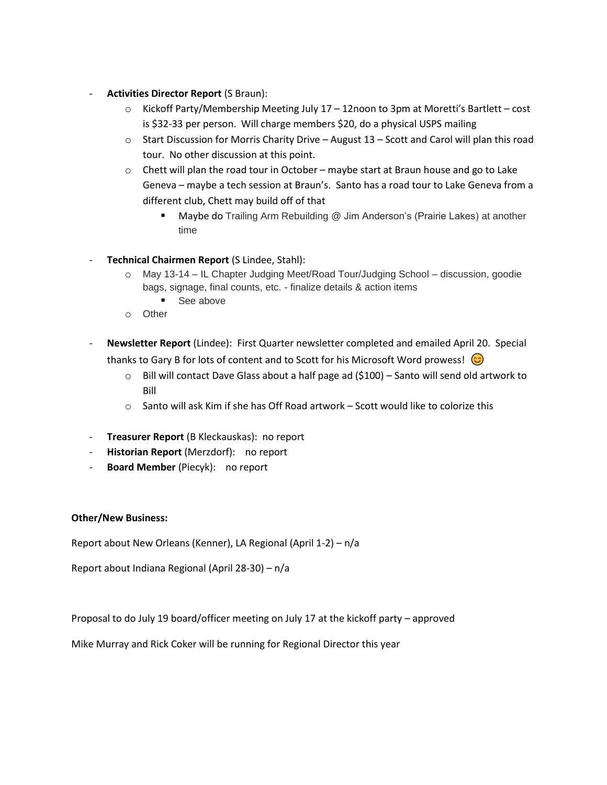- **Activities Director Report** (S Braun):
	- $\circ$  Kickoff Party/Membership Meeting July 17 12noon to 3pm at Moretti's Bartlett cost is \$32-33 per person. Will charge members \$20, do a physical USPS mailing
	- $\circ$  Start Discussion for Morris Charity Drive August 13 Scott and Carol will plan this road tour. No other discussion at this point.
	- $\circ$  Chett will plan the road tour in October maybe start at Braun house and go to Lake Geneva – maybe a tech session at Braun's. Santo has a road tour to Lake Geneva from a different club, Chett may build off of that
		- Maybe do Trailing Arm Rebuilding @ Jim Anderson's (Prairie Lakes) at another time
- **Technical Chairmen Report** (S Lindee, Stahl):
	- o May 13-14 IL Chapter Judging Meet/Road Tour/Judging School discussion, goodie bags, signage, final counts, etc. - finalize details & action items
		- See above
	- o Other
- **Newsletter Report** (Lindee): First Quarter newsletter completed and emailed April 20. Special thanks to Gary B for lots of content and to Scott for his Microsoft Word prowess!  $\odot$ 
	- $\circ$  Bill will contact Dave Glass about a half page ad (\$100) Santo will send old artwork to Bill
	- $\circ$  Santo will ask Kim if she has Off Road artwork Scott would like to colorize this
- **Treasurer Report** (B Kleckauskas): no report
- **Historian Report** (Merzdorf): no report
- **Board Member** (Piecyk): no report

## **Other/New Business:**

Report about New Orleans (Kenner), LA Regional (April 1-2) – n/a

Report about Indiana Regional (April 28-30) – n/a

Proposal to do July 19 board/officer meeting on July 17 at the kickoff party – approved

Mike Murray and Rick Coker will be running for Regional Director this year